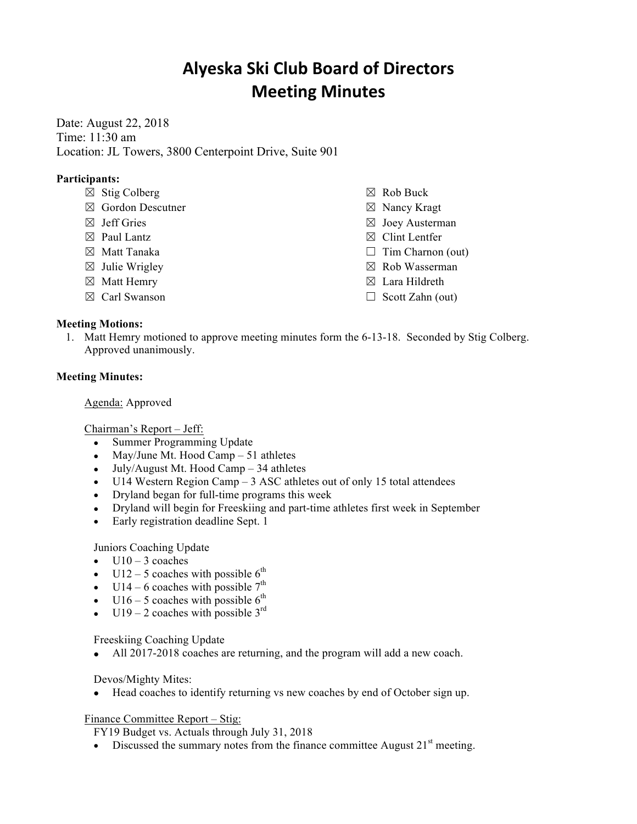# **Alyeska Ski Club Board of Directors Meeting Minutes**

Date: August 22, 2018 Time: 11:30 am Location: JL Towers, 3800 Centerpoint Drive, Suite 901

# **Participants:**

- $\boxtimes$  Stig Colberg
- ☒ Gordon Descutner
- $\boxtimes$  Jeff Gries
- $\boxtimes$  Paul Lantz
- ☒ Matt Tanaka
- $\boxtimes$  Julie Wrigley
- ☒ Matt Hemry
- ☒ Carl Swanson

- ☒ Rob Buck
- ☒ Nancy Kragt
- ☒ Joey Austerman
- ☒ Clint Lentfer
- $\Box$  Tim Charnon (out)
- ☒ Rob Wasserman
- ☒ Lara Hildreth
- $\Box$  Scott Zahn (out)

# **Meeting Motions:**

1. Matt Hemry motioned to approve meeting minutes form the 6-13-18. Seconded by Stig Colberg. Approved unanimously.

### **Meeting Minutes:**

Agenda: Approved

Chairman's Report – Jeff:

- Summer Programming Update
- May/June Mt. Hood Camp 51 athletes
- July/August Mt. Hood Camp 34 athletes
- U14 Western Region Camp 3 ASC athletes out of only 15 total attendees
- Dryland began for full-time programs this week
- Dryland will begin for Freeskiing and part-time athletes first week in September
- Early registration deadline Sept. 1

Juniors Coaching Update

- $\bullet$  U10 3 coaches
- U12 5 coaches with possible  $6<sup>th</sup>$
- U14 6 coaches with possible  $7<sup>th</sup>$
- U16 5 coaches with possible  $6^{th}$
- U19 2 coaches with possible  $3<sup>rd</sup>$

Freeskiing Coaching Update

• All 2017-2018 coaches are returning, and the program will add a new coach.

Devos/Mighty Mites:

• Head coaches to identify returning vs new coaches by end of October sign up.

Finance Committee Report – Stig:

FY19 Budget vs. Actuals through July 31, 2018

• Discussed the summary notes from the finance committee August  $21<sup>st</sup>$  meeting.